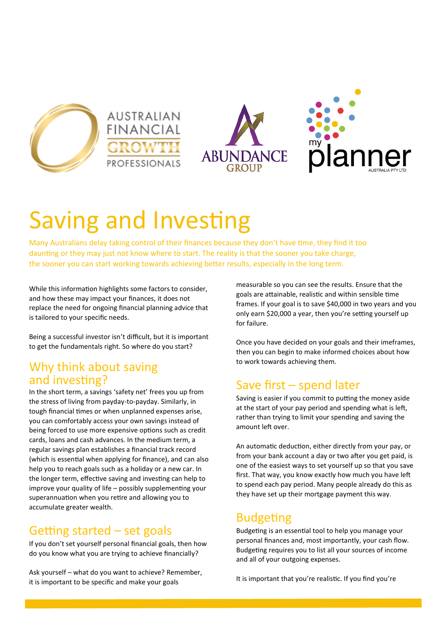







# Saving and Investing

Many Australians delay taking control of their finances because they don't have time, they find it too daunting or they may just not know where to start. The reality is that the sooner you take charge, the sooner you can start working towards achieving better results, especially in the long term.

While this information highlights some factors to consider, and how these may impact your finances, it does not replace the need for ongoing financial planning advice that is tailored to your specific needs.

Being a successful investor isn't difficult, but it is important to get the fundamentals right. So where do you start?

#### Why think about saving and investing?

In the short term, a savings 'safety net' frees you up from the stress of living from payday-to-payday. Similarly, in tough financial times or when unplanned expenses arise, you can comfortably access your own savings instead of being forced to use more expensive options such as credit cards, loans and cash advances. In the medium term, a regular savings plan establishes a financial track record (which is essential when applying for finance), and can also help you to reach goals such as a holiday or a new car. In the longer term, effective saving and investing can help to improve your quality of life – possibly supplementing your superannuation when you retire and allowing you to accumulate greater wealth.

### Getting started – set goals

If you don't set yourself personal financial goals, then how do you know what you are trying to achieve financially?

Ask yourself – what do you want to achieve? Remember, it is important to be specific and make your goals

measurable so you can see the results. Ensure that the goals are attainable, realistic and within sensible time frames. If your goal is to save \$40,000 in two years and you only earn \$20,000 a year, then you're setting yourself up for failure.

Once you have decided on your goals and their imeframes, then you can begin to make informed choices about how to work towards achieving them.

# Save first – spend later

Saving is easier if you commit to putting the money aside at the start of your pay period and spending what is left, rather than trying to limit your spending and saving the amount left over.

An automatic deduction, either directly from your pay, or from your bank account a day or two after you get paid, is one of the easiest ways to set yourself up so that you save first. That way, you know exactly how much you have left to spend each pay period. Many people already do this as they have set up their mortgage payment this way.

### Budgeting

Budgeting is an essential tool to help you manage your personal finances and, most importantly, your cash flow. Budgeting requires you to list all your sources of income and all of your outgoing expenses.

It is important that you're realistic. If you find you're